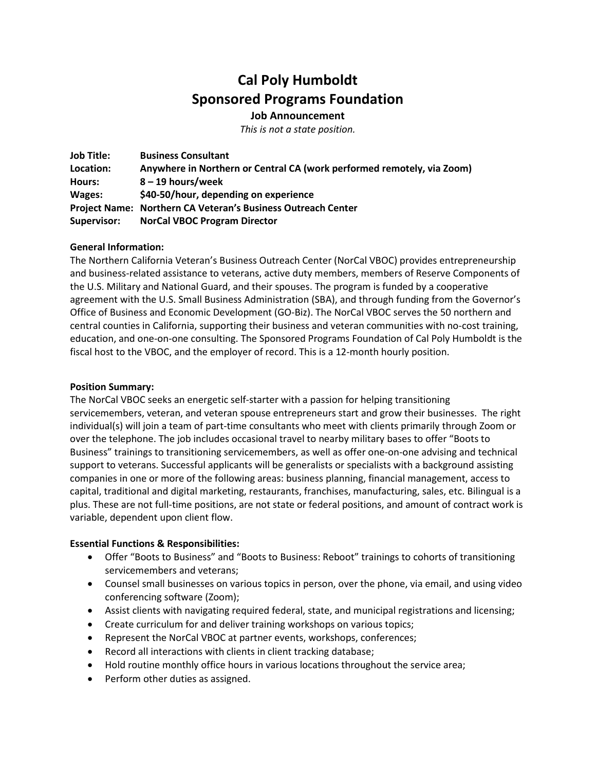# **Cal Poly Humboldt Sponsored Programs Foundation**

#### **Job Announcement**

*This is not a state position.*

| <b>Job Title:</b> | <b>Business Consultant</b>                                             |
|-------------------|------------------------------------------------------------------------|
| Location:         | Anywhere in Northern or Central CA (work performed remotely, via Zoom) |
| Hours:            | $8 - 19$ hours/week                                                    |
| Wages:            | \$40-50/hour, depending on experience                                  |
|                   | Project Name: Northern CA Veteran's Business Outreach Center           |
| Supervisor:       | <b>NorCal VBOC Program Director</b>                                    |

### **General Information:**

The Northern California Veteran's Business Outreach Center (NorCal VBOC) provides entrepreneurship and business-related assistance to veterans, active duty members, members of Reserve Components of the U.S. Military and National Guard, and their spouses. The program is funded by a cooperative agreement with the U.S. Small Business Administration (SBA), and through funding from the Governor's Office of Business and Economic Development (GO-Biz). The NorCal VBOC serves the 50 northern and central counties in California, supporting their business and veteran communities with no-cost training, education, and one-on-one consulting. The Sponsored Programs Foundation of Cal Poly Humboldt is the fiscal host to the VBOC, and the employer of record. This is a 12-month hourly position.

#### **Position Summary:**

The NorCal VBOC seeks an energetic self-starter with a passion for helping transitioning servicemembers, veteran, and veteran spouse entrepreneurs start and grow their businesses. The right individual(s) will join a team of part-time consultants who meet with clients primarily through Zoom or over the telephone. The job includes occasional travel to nearby military bases to offer "Boots to Business" trainings to transitioning servicemembers, as well as offer one-on-one advising and technical support to veterans. Successful applicants will be generalists or specialists with a background assisting companies in one or more of the following areas: business planning, financial management, access to capital, traditional and digital marketing, restaurants, franchises, manufacturing, sales, etc. Bilingual is a plus. These are not full-time positions, are not state or federal positions, and amount of contract work is variable, dependent upon client flow.

## **Essential Functions & Responsibilities:**

- Offer "Boots to Business" and "Boots to Business: Reboot" trainings to cohorts of transitioning servicemembers and veterans;
- Counsel small businesses on various topics in person, over the phone, via email, and using video conferencing software (Zoom);
- Assist clients with navigating required federal, state, and municipal registrations and licensing;
- Create curriculum for and deliver training workshops on various topics;
- Represent the NorCal VBOC at partner events, workshops, conferences;
- Record all interactions with clients in client tracking database;
- Hold routine monthly office hours in various locations throughout the service area;
- Perform other duties as assigned.